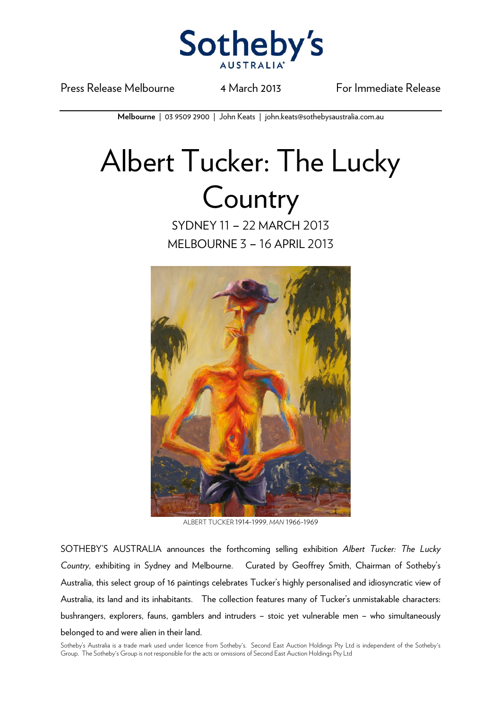

Press Release Melbourne 14 March 2013 For Immediate Release

**Melbourne** | 03 9509 2900 | John Keats | john.keats@sothebysaustralia.com.au

## Albert Tucker: The Lucky **Country**

SYDNEY 11 – 22 MARCH 2013 MELBOURNE 3 – 16 APRIL 2013



ALBERT TUCKER 1914-1999, *MAN* 1966-1969

SOTHEBY'S AUSTRALIA announces the forthcoming selling exhibition *Albert Tucker: The Lucky Country,* exhibiting in Sydney and Melbourne. Curated by Geoffrey Smith, Chairman of Sotheby's Australia, this select group of 16 paintings celebrates Tucker's highly personalised and idiosyncratic view of Australia, its land and its inhabitants. The collection features many of Tucker's unmistakable characters: bushrangers, explorers, fauns, gamblers and intruders – stoic yet vulnerable men – who simultaneously belonged to and were alien in their land.

Sotheby's Australia is a trade mark used under licence from Sotheby's. Second East Auction Holdings Pty Ltd is independent of the Sotheby's Group. The Sotheby's Group is not responsible for the acts or omissions of Second East Auction Holdings Pty Ltd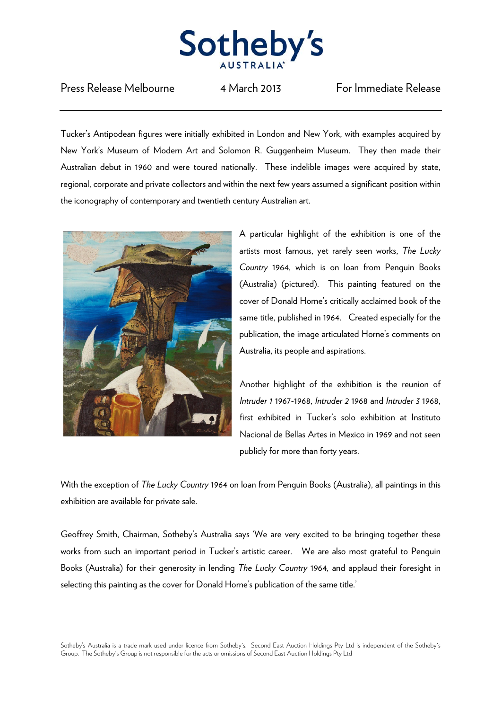

## Press Release Melbourne 14 March 2013 For Immediate Release

Tucker's Antipodean figures were initially exhibited in London and New York, with examples acquired by New York's Museum of Modern Art and Solomon R. Guggenheim Museum. They then made their Australian debut in 1960 and were toured nationally. These indelible images were acquired by state, regional, corporate and private collectors and within the next few years assumed a significant position within the iconography of contemporary and twentieth century Australian art.



A particular highlight of the exhibition is one of the artists most famous, yet rarely seen works, *The Lucky Country* 1964, which is on loan from Penguin Books (Australia) (pictured). This painting featured on the cover of Donald Horne's critically acclaimed book of the same title, published in 1964. Created especially for the publication, the image articulated Horne's comments on Australia, its people and aspirations.

Another highlight of the exhibition is the reunion of *Intruder 1* 1967-1968, *Intruder 2* 1968 and *Intruder 3* 1968, first exhibited in Tucker's solo exhibition at Instituto Nacional de Bellas Artes in Mexico in 1969 and not seen publicly for more than forty years.

With the exception of *The Lucky Country* 1964 on loan from Penguin Books (Australia), all paintings in this exhibition are available for private sale.

Geoffrey Smith, Chairman, Sotheby's Australia says 'We are very excited to be bringing together these works from such an important period in Tucker's artistic career. We are also most grateful to Penguin Books (Australia) for their generosity in lending *The Lucky Country* 1964*,* and applaud their foresight in selecting this painting as the cover for Donald Horne's publication of the same title.'

Sotheby's Australia is a trade mark used under licence from Sotheby's. Second East Auction Holdings Pty Ltd is independent of the Sotheby's Group. The Sotheby's Group is not responsible for the acts or omissions of Second East Auction Holdings Pty Ltd